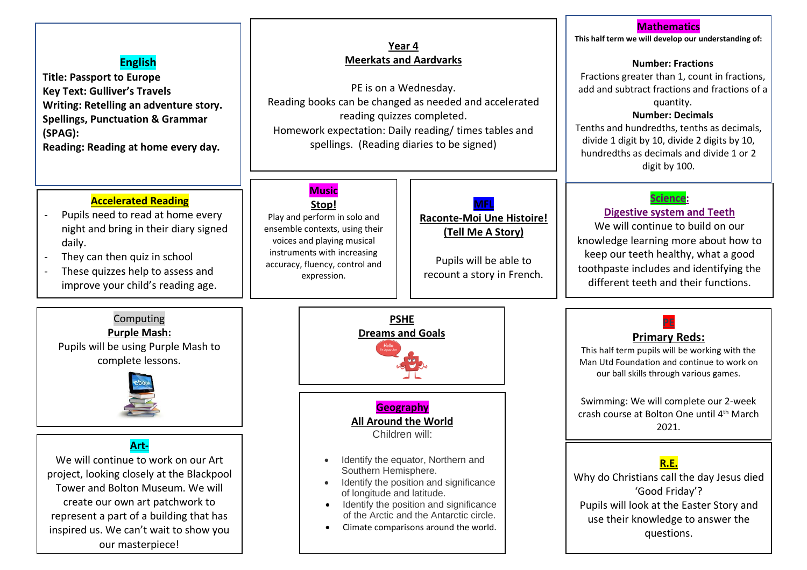# **English**

**Title: Passport to Europe Key Text: Gulliver's Travels Writing: Retelling an adventure story. Spellings, Punctuation & Grammar (SPAG):**

**Reading: Reading at home every day.**

# **Accelerated Reading**

- Pupils need to read at home every night and bring in their diary signed daily.
- They can then quiz in school
- These quizzes help to assess and improve your child's reading age.

**Computing Purple Mash:** Pupils will be using Purple Mash to complete lessons.

**Art-**We will continue to work on our Art project, looking closely at the Blackpool Tower and Bolton Museum. We will create our own art patchwork to represent a part of a building that has inspired us. We can't wait to show you our masterpiece!

# **Year 4 Meerkats and Aardvarks**

PE is on a Wednesday. Reading books can be changed as needed and accelerated reading quizzes completed. Homework expectation: Daily reading/ times tables and spellings. (Reading diaries to be signed)

#### **Music Stop!**

Play and perform in solo and ensemble contexts, using their voices and playing musical instruments with increasing accuracy, fluency, control and expression.

### **MFL Raconte-Moi Une Histoire! (Tell Me A Story)**

Pupils will be able to recount a story in French.



- Identify the equator, Northern and Southern Hemisphere.
- Identify the position and significance of longitude and latitude.
- Identify the position and significance of the Arctic and the Antarctic circle.
- Climate comparisons around the world.

# **Mathematics**

**This half term we will develop our understanding of:**

# **Number: Fractions**

Fractions greater than 1, count in fractions, add and subtract fractions and fractions of a quantity.

# **Number: Decimals**

Tenths and hundredths, tenths as decimals, divide 1 digit by 10, divide 2 digits by 10, hundredths as decimals and divide 1 or 2 digit by 100.

# **Science:**

# **Digestive system and Teeth**

We will continue to build on our knowledge learning more about how to keep our teeth healthy, what a good toothpaste includes and identifying the different teeth and their functions.

# **Primary Reds:**

This half term pupils will be working with the Man Utd Foundation and continue to work on our ball skills through various games.

Swimming: We will complete our 2-week crash course at Bolton One until 4th March 2021.



Why do Christians call the day Jesus died 'Good Friday'? Pupils will look at the Easter Story and use their knowledge to answer the questions.